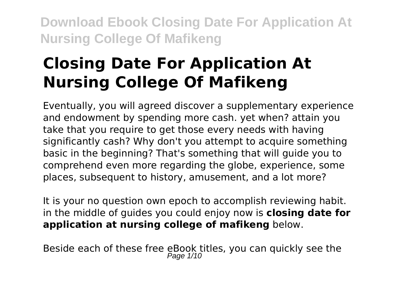# **Closing Date For Application At Nursing College Of Mafikeng**

Eventually, you will agreed discover a supplementary experience and endowment by spending more cash. yet when? attain you take that you require to get those every needs with having significantly cash? Why don't you attempt to acquire something basic in the beginning? That's something that will guide you to comprehend even more regarding the globe, experience, some places, subsequent to history, amusement, and a lot more?

It is your no question own epoch to accomplish reviewing habit. in the middle of guides you could enjoy now is **closing date for application at nursing college of mafikeng** below.

Beside each of these free eBook titles, you can quickly see the<br> $P_{\text{age 1/10}}$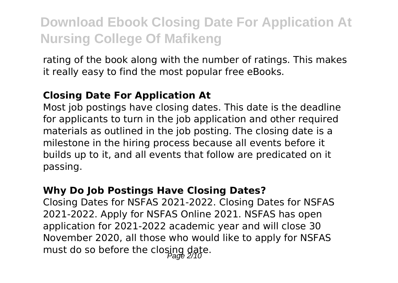rating of the book along with the number of ratings. This makes it really easy to find the most popular free eBooks.

#### **Closing Date For Application At**

Most job postings have closing dates. This date is the deadline for applicants to turn in the job application and other required materials as outlined in the job posting. The closing date is a milestone in the hiring process because all events before it builds up to it, and all events that follow are predicated on it passing.

#### **Why Do Job Postings Have Closing Dates?**

Closing Dates for NSFAS 2021-2022. Closing Dates for NSFAS 2021-2022. Apply for NSFAS Online 2021. NSFAS has open application for 2021-2022 academic year and will close 30 November 2020, all those who would like to apply for NSFAS must do so before the closing date.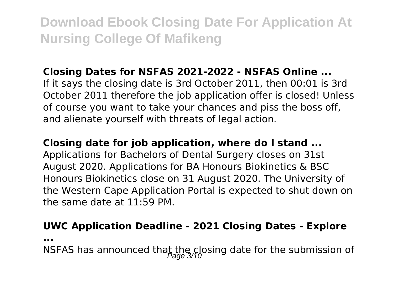### **Closing Dates for NSFAS 2021-2022 - NSFAS Online ...**

If it says the closing date is 3rd October 2011, then 00:01 is 3rd October 2011 therefore the job application offer is closed! Unless of course you want to take your chances and piss the boss off, and alienate yourself with threats of legal action.

#### **Closing date for job application, where do I stand ...**

Applications for Bachelors of Dental Surgery closes on 31st August 2020. Applications for BA Honours Biokinetics & BSC Honours Biokinetics close on 31 August 2020. The University of the Western Cape Application Portal is expected to shut down on the same date at 11:59 PM.

### **UWC Application Deadline - 2021 Closing Dates - Explore**

**...**

NSFAS has announced that the closing date for the submission of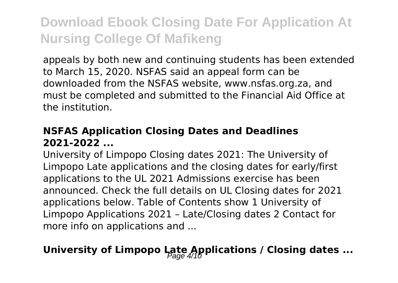appeals by both new and continuing students has been extended to March 15, 2020. NSFAS said an appeal form can be downloaded from the NSFAS website, www.nsfas.org.za, and must be completed and submitted to the Financial Aid Office at the institution.

### **NSFAS Application Closing Dates and Deadlines 2021-2022 ...**

University of Limpopo Closing dates 2021: The University of Limpopo Late applications and the closing dates for early/first applications to the UL 2021 Admissions exercise has been announced. Check the full details on UL Closing dates for 2021 applications below. Table of Contents show 1 University of Limpopo Applications 2021 – Late/Closing dates 2 Contact for more info on applications and ...

### **University of Limpopo Late Applications / Closing dates ...**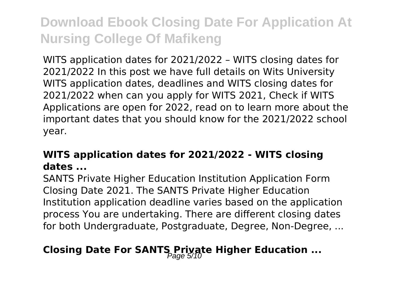WITS application dates for 2021/2022 – WITS closing dates for 2021/2022 In this post we have full details on Wits University WITS application dates, deadlines and WITS closing dates for 2021/2022 when can you apply for WITS 2021, Check if WITS Applications are open for 2022, read on to learn more about the important dates that you should know for the 2021/2022 school year.

### **WITS application dates for 2021/2022 - WITS closing dates ...**

SANTS Private Higher Education Institution Application Form Closing Date 2021. The SANTS Private Higher Education Institution application deadline varies based on the application process You are undertaking. There are different closing dates for both Undergraduate, Postgraduate, Degree, Non-Degree, ...

### **Closing Date For SANTS Private Higher Education ...**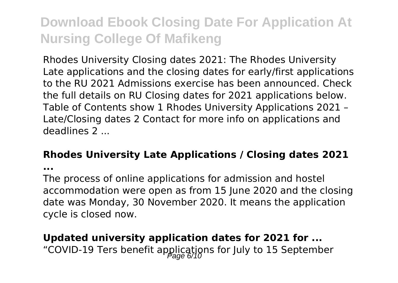Rhodes University Closing dates 2021: The Rhodes University Late applications and the closing dates for early/first applications to the RU 2021 Admissions exercise has been announced. Check the full details on RU Closing dates for 2021 applications below. Table of Contents show 1 Rhodes University Applications 2021 – Late/Closing dates 2 Contact for more info on applications and deadlines 2 ...

#### **Rhodes University Late Applications / Closing dates 2021**

**...**

The process of online applications for admission and hostel accommodation were open as from 15 June 2020 and the closing date was Monday, 30 November 2020. It means the application cycle is closed now.

### **Updated university application dates for 2021 for ...** "COVID-19 Ters benefit applications for July to 15 September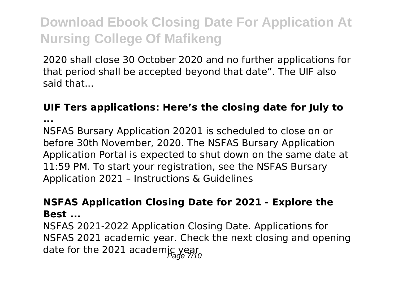2020 shall close 30 October 2020 and no further applications for that period shall be accepted beyond that date". The UIF also said that...

### **UIF Ters applications: Here's the closing date for July to**

**...**

NSFAS Bursary Application 20201 is scheduled to close on or before 30th November, 2020. The NSFAS Bursary Application Application Portal is expected to shut down on the same date at 11:59 PM. To start your registration, see the NSFAS Bursary Application 2021 – Instructions & Guidelines

#### **NSFAS Application Closing Date for 2021 - Explore the Best ...**

NSFAS 2021-2022 Application Closing Date. Applications for NSFAS 2021 academic year. Check the next closing and opening date for the 2021 academic year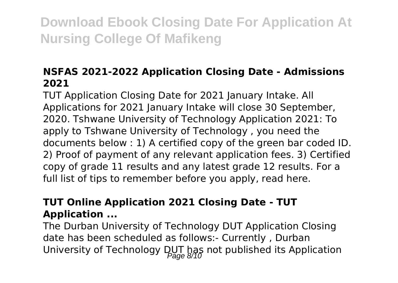### **NSFAS 2021-2022 Application Closing Date - Admissions 2021**

TUT Application Closing Date for 2021 January Intake. All Applications for 2021 January Intake will close 30 September, 2020. Tshwane University of Technology Application 2021: To apply to Tshwane University of Technology , you need the documents below : 1) A certified copy of the green bar coded ID. 2) Proof of payment of any relevant application fees. 3) Certified copy of grade 11 results and any latest grade 12 results. For a full list of tips to remember before you apply, read here.

### **TUT Online Application 2021 Closing Date - TUT Application ...**

The Durban University of Technology DUT Application Closing date has been scheduled as follows:- Currently , Durban University of Technology DUT has not published its Application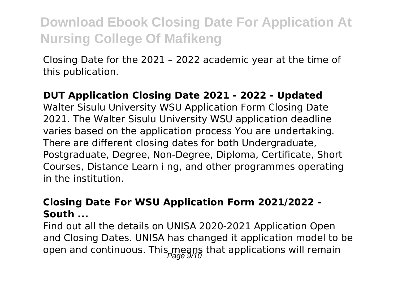Closing Date for the 2021 – 2022 academic year at the time of this publication.

### **DUT Application Closing Date 2021 - 2022 - Updated**

Walter Sisulu University WSU Application Form Closing Date 2021. The Walter Sisulu University WSU application deadline varies based on the application process You are undertaking. There are different closing dates for both Undergraduate, Postgraduate, Degree, Non-Degree, Diploma, Certificate, Short Courses, Distance Learn i ng, and other programmes operating in the institution.

#### **Closing Date For WSU Application Form 2021/2022 - South ...**

Find out all the details on UNISA 2020-2021 Application Open and Closing Dates. UNISA has changed it application model to be open and continuous. This means that applications will remain